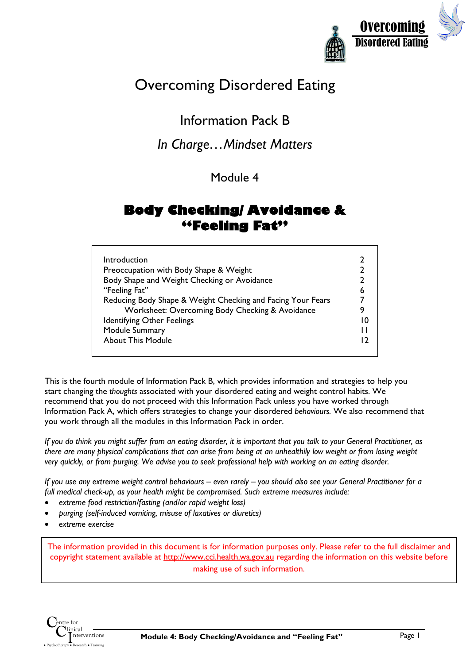

# Overcoming Disordered Eating

### Information Pack B

### *In Charge…Mindset Matters*

### Module 4

### **Body Checking/ Avoidance & "Feeling Fat"**

| Introduction<br>Preoccupation with Body Shape & Weight<br>Body Shape and Weight Checking or Avoidance<br>"Feeling Fat"<br>Reducing Body Shape & Weight Checking and Facing Your Fears<br>Worksheet: Overcoming Body Checking & Avoidance<br><b>Identifying Other Feelings</b><br>Module Summary | 6<br>10 |
|-------------------------------------------------------------------------------------------------------------------------------------------------------------------------------------------------------------------------------------------------------------------------------------------------|---------|
| <b>About This Module</b>                                                                                                                                                                                                                                                                        |         |

This is the fourth module of Information Pack B, which provides information and strategies to help you start changing the *thoughts* associated with your disordered eating and weight control habits. We recommend that you do not proceed with this Information Pack unless you have worked through Information Pack A, which offers strategies to change your disordered *behaviours.* We also recommend that you work through all the modules in this Information Pack in order.

*If you do think you might suffer from an eating disorder, it is important that you talk to your General Practitioner, as there are many physical complications that can arise from being at an unhealthily low weight or from losing weight very quickly, or from purging. We advise you to seek professional help with working on an eating disorder.* 

*If you use any extreme weight control behaviours – even rarely – you should also see your General Practitioner for a full medical check-up, as your health might be compromised. Such extreme measures include:*

- *extreme food restriction/fasting (and/or rapid weight loss)*
- *purging (self-induced vomiting, misuse of laxatives or diuretics)*
- *extreme exercise*

The information provided in this document is for information purposes only. Please refer to the full disclaimer and copyright statement available at http://www.cci.health.wa.gov.au regarding the information on this website before making use of such information.

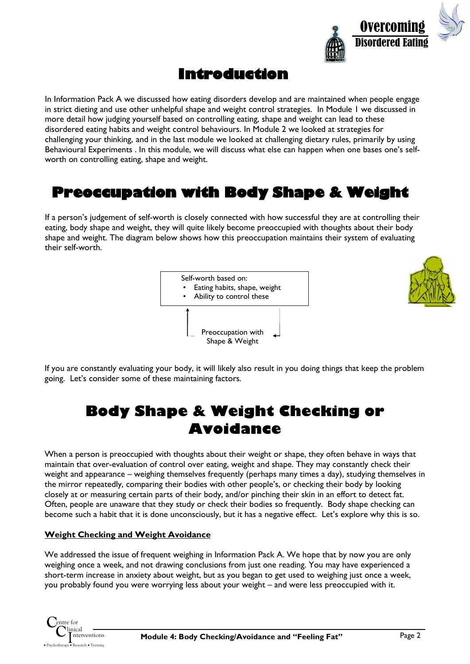

### **Introduction**

In Information Pack A we discussed how eating disorders develop and are maintained when people engage in strict dieting and use other unhelpful shape and weight control strategies. In Module 1 we discussed in more detail how judging yourself based on controlling eating, shape and weight can lead to these disordered eating habits and weight control behaviours. In Module 2 we looked at strategies for challenging your thinking, and in the last module we looked at challenging dietary rules, primarily by using Behavioural Experiments . In this module, we will discuss what else can happen when one bases one's selfworth on controlling eating, shape and weight.

### **Preoccupation with Body Shape & Weight**

If a person's judgement of self-worth is closely connected with how successful they are at controlling their eating, body shape and weight, they will quite likely become preoccupied with thoughts about their body shape and weight. The diagram below shows how this preoccupation maintains their system of evaluating their self-worth.





If you are constantly evaluating your body, it will likely also result in you doing things that keep the problem going. Let's consider some of these maintaining factors.

# **Body Shape & Weight Checking or Avoidance**

When a person is preoccupied with thoughts about their weight or shape, they often behave in ways that maintain that over-evaluation of control over eating, weight and shape. They may constantly check their weight and appearance – weighing themselves frequently (perhaps many times a day), studying themselves in the mirror repeatedly, comparing their bodies with other people's, or checking their body by looking closely at or measuring certain parts of their body, and/or pinching their skin in an effort to detect fat. Often, people are unaware that they study or check their bodies so frequently. Body shape checking can become such a habit that it is done unconsciously, but it has a negative effect. Let's explore why this is so.

#### **Weight Checking and Weight Avoidance**

We addressed the issue of frequent weighing in Information Pack A. We hope that by now you are only weighing once a week, and not drawing conclusions from just one reading. You may have experienced a short-term increase in anxiety about weight, but as you began to get used to weighing just once a week, you probably found you were worrying less about your weight – and were less preoccupied with it.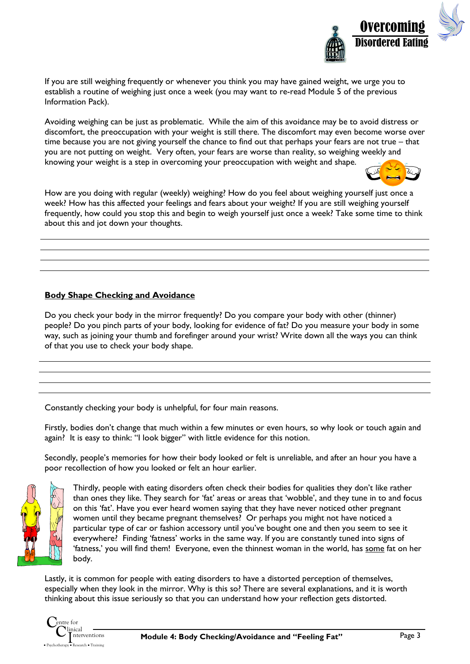

If you are still weighing frequently or whenever you think you may have gained weight, we urge you to establish a routine of weighing just once a week (you may want to re-read Module 5 of the previous Information Pack).

Avoiding weighing can be just as problematic. While the aim of this avoidance may be to avoid distress or discomfort, the preoccupation with your weight is still there. The discomfort may even become worse over time because you are not giving yourself the chance to find out that perhaps your fears are not true – that you are not putting on weight. Very often, your fears are worse than reality, so weighing weekly and knowing your weight is a step in overcoming your preoccupation with weight and shape.



How are you doing with regular (weekly) weighing? How do you feel about weighing yourself just once a week? How has this affected your feelings and fears about your weight? If you are still weighing yourself frequently, how could you stop this and begin to weigh yourself just once a week? Take some time to think about this and jot down your thoughts.

#### **Body Shape Checking and Avoidance**

Do you check your body in the mirror frequently? Do you compare your body with other (thinner) people? Do you pinch parts of your body, looking for evidence of fat? Do you measure your body in some way, such as joining your thumb and forefinger around your wrist? Write down all the ways you can think of that you use to check your body shape.

Constantly checking your body is unhelpful, for four main reasons.

Firstly, bodies don't change that much within a few minutes or even hours, so why look or touch again and again? It is easy to think: "I look bigger" with little evidence for this notion.

Secondly, people's memories for how their body looked or felt is unreliable, and after an hour you have a poor recollection of how you looked or felt an hour earlier.



Thirdly, people with eating disorders often check their bodies for qualities they don't like rather than ones they like. They search for 'fat' areas or areas that 'wobble', and they tune in to and focus on this 'fat'. Have you ever heard women saying that they have never noticed other pregnant women until they became pregnant themselves? Or perhaps you might not have noticed a particular type of car or fashion accessory until you've bought one and then you seem to see it everywhere? Finding 'fatness' works in the same way. If you are constantly tuned into signs of 'fatness,' you will find them! Everyone, even the thinnest woman in the world, has some fat on her body.

Lastly, it is common for people with eating disorders to have a distorted perception of themselves, especially when they look in the mirror. Why is this so? There are several explanations, and it is worth thinking about this issue seriously so that you can understand how your reflection gets distorted.

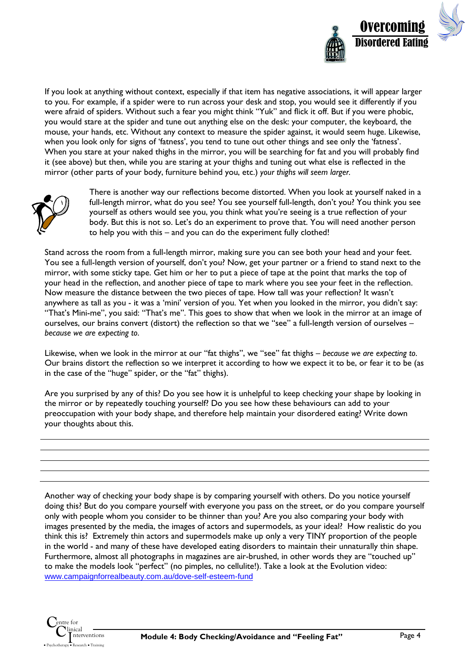

If you look at anything without context, especially if that item has negative associations, it will appear larger to you. For example, if a spider were to run across your desk and stop, you would see it differently if you were afraid of spiders. Without such a fear you might think "Yuk" and flick it off. But if you were phobic, you would stare at the spider and tune out anything else on the desk: your computer, the keyboard, the mouse, your hands, etc. Without any context to measure the spider against, it would seem huge. Likewise, when you look only for signs of 'fatness', you tend to tune out other things and see only the 'fatness'. When you stare at your naked thighs in the mirror, you will be searching for fat and you will probably find it (see above) but then, while you are staring at your thighs and tuning out what else is reflected in the mirror (other parts of your body, furniture behind you, etc.) *your thighs will seem larger.*



There is another way our reflections become distorted. When you look at yourself naked in a full-length mirror, what do you see? You see yourself full-length, don't you? You think you see yourself as others would see you, you think what you're seeing is a true reflection of your body. But this is not so. Let's do an experiment to prove that. You will need another person to help you with this – and you can do the experiment fully clothed!

Stand across the room from a full-length mirror, making sure you can see both your head and your feet. You see a full-length version of yourself, don't you? Now, get your partner or a friend to stand next to the mirror, with some sticky tape. Get him or her to put a piece of tape at the point that marks the top of your head in the reflection, and another piece of tape to mark where you see your feet in the reflection. Now measure the distance between the two pieces of tape. How tall was your reflection? It wasn't anywhere as tall as you - it was a 'mini' version of you. Yet when you looked in the mirror, you didn't say: "That's Mini-me", you said: "That's me". This goes to show that when we look in the mirror at an image of ourselves, our brains convert (distort) the reflection so that we "see" a full-length version of ourselves – *because we are expecting to*.

Likewise, when we look in the mirror at our "fat thighs", we "see" fat thighs – *because we are expecting to*. Our brains distort the reflection so we interpret it according to how we expect it to be, or fear it to be (as in the case of the "huge" spider, or the "fat" thighs).

Are you surprised by any of this? Do you see how it is unhelpful to keep checking your shape by looking in the mirror or by repeatedly touching yourself? Do you see how these behaviours can add to your preoccupation with your body shape, and therefore help maintain your disordered eating? Write down your thoughts about this.

Another way of checking your body shape is by comparing yourself with others. Do you notice yourself doing this? But do you compare yourself with everyone you pass on the street, or do you compare yourself only with people whom you consider to be thinner than you? Are you also comparing your body with images presented by the media, the images of actors and supermodels, as your ideal? How realistic do you think this is? Extremely thin actors and supermodels make up only a very TINY proportion of the people in the world - and many of these have developed eating disorders to maintain their unnaturally thin shape. Furthermore, almost all photographs in magazines are air-brushed, in other words they are "touched up" to make the models look "perfect" (no pimples, no cellulite!). Take a look at the Evolution video: www.campaignforrealbeauty.com.au/dove-self-esteem-fund

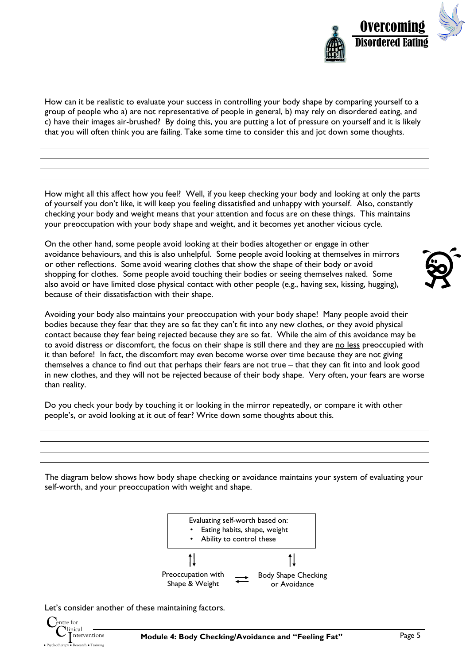

How can it be realistic to evaluate your success in controlling your body shape by comparing yourself to a group of people who a) are not representative of people in general, b) may rely on disordered eating, and c) have their images air-brushed? By doing this, you are putting a lot of pressure on yourself and it is likely that you will often think you are failing. Take some time to consider this and jot down some thoughts.

How might all this affect how you feel? Well, if you keep checking your body and looking at only the parts of yourself you don't like, it will keep you feeling dissatisfied and unhappy with yourself. Also, constantly checking your body and weight means that your attention and focus are on these things. This maintains your preoccupation with your body shape and weight, and it becomes yet another vicious cycle.

On the other hand, some people avoid looking at their bodies altogether or engage in other avoidance behaviours, and this is also unhelpful. Some people avoid looking at themselves in mirrors or other reflections. Some avoid wearing clothes that show the shape of their body or avoid shopping for clothes. Some people avoid touching their bodies or seeing themselves naked. Some also avoid or have limited close physical contact with other people (e.g., having sex, kissing, hugging), because of their dissatisfaction with their shape.

Avoiding your body also maintains your preoccupation with your body shape! Many people avoid their bodies because they fear that they are so fat they can't fit into any new clothes, or they avoid physical contact because they fear being rejected because they are so fat. While the aim of this avoidance may be to avoid distress or discomfort, the focus on their shape is still there and they are no less preoccupied with it than before! In fact, the discomfort may even become worse over time because they are not giving themselves a chance to find out that perhaps their fears are not true – that they can fit into and look good in new clothes, and they will not be rejected because of their body shape. Very often, your fears are worse than reality.

Do you check your body by touching it or looking in the mirror repeatedly, or compare it with other people's, or avoid looking at it out of fear? Write down some thoughts about this.

The diagram below shows how body shape checking or avoidance maintains your system of evaluating your self-worth, and your preoccupation with weight and shape.



Let's consider another of these maintaining factors.



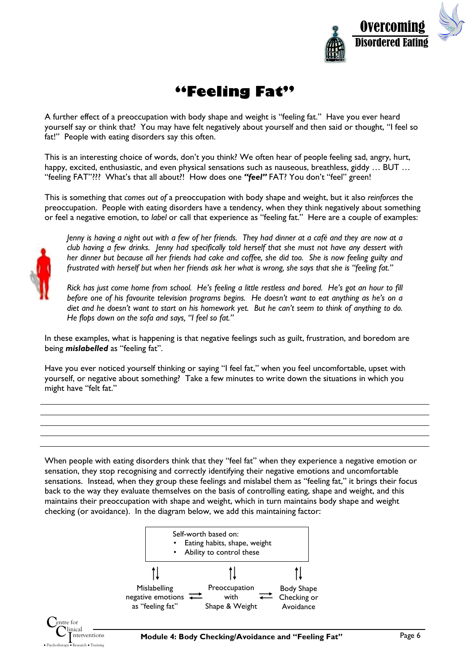

# **"Feeling Fat"**

A further effect of a preoccupation with body shape and weight is "feeling fat." Have you ever heard yourself say or think that? You may have felt negatively about yourself and then said or thought, "I feel so fat!" People with eating disorders say this often.

This is an interesting choice of words, don't you think? We often hear of people feeling sad, angry, hurt, happy, excited, enthusiastic, and even physical sensations such as nauseous, breathless, giddy ... BUT ... "feeling FAT"??? What's that all about?! How does one "feel" FAT? You don't "feel" green!

This is something that *comes out of* a preoccupation with body shape and weight, but it also *reinforces* the preoccupation. People with eating disorders have a tendency, when they think negatively about something or feel a negative emotion, to *label* or call that experience as "feeling fat." Here are a couple of examples:



*Jenny is having a night out with a few of her friends. They had dinner at a café and they are now at a club having a few drinks. Jenny had specifically told herself that she must not have any dessert with her dinner but because all her friends had cake and coffee, she did too. She is now feeling guilty and frustrated with herself but when her friends ask her what is wrong, she says that she is "feeling fat."*

*Rick has just come home from school. He's feeling a little restless and bored. He's got an hour to fill before one of his favourite television programs begins. He doesn't want to eat anything as he's on a diet and he doesn't want to start on his homework yet. But he can't seem to think of anything to do. He flops down on the sofa and says, "I feel so fat."*

In these examples, what is happening is that negative feelings such as guilt, frustration, and boredom are being *mislabelled* as "feeling fat".

Have you ever noticed yourself thinking or saying "I feel fat," when you feel uncomfortable, upset with yourself, or negative about something? Take a few minutes to write down the situations in which you might have "felt fat."

When people with eating disorders think that they "feel fat" when they experience a negative emotion or sensation, they stop recognising and correctly identifying their negative emotions and uncomfortable sensations. Instead, when they group these feelings and mislabel them as "feeling fat," it brings their focus back to the way they evaluate themselves on the basis of controlling eating, shape and weight, and this maintains their preoccupation with shape and weight, which in turn maintains body shape and weight checking (or avoidance). In the diagram below, we add this maintaining factor:

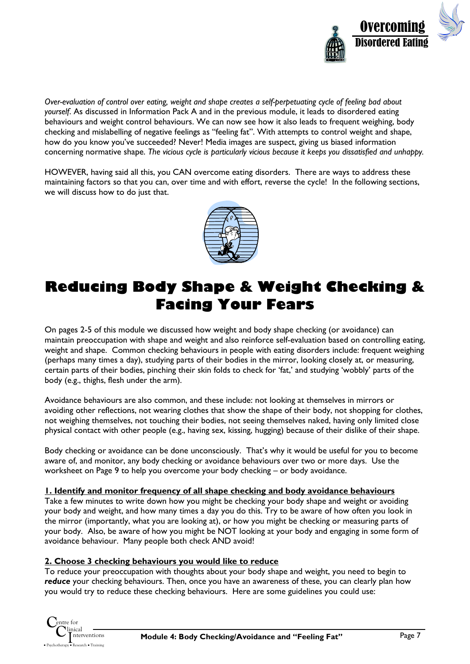

*Over-evaluation of control over eating, weight and shape creates a self-perpetuating cycle of feeling bad about yourself*. As discussed in Information Pack A and in the previous module, it leads to disordered eating behaviours and weight control behaviours. We can now see how it also leads to frequent weighing, body checking and mislabelling of negative feelings as "feeling fat". With attempts to control weight and shape, how do you know you've succeeded? Never! Media images are suspect, giving us biased information concerning normative shape. *The vicious cycle is particularly vicious because it keeps you dissatisfied and unhappy.* 

HOWEVER, having said all this, you CAN overcome eating disorders. There are ways to address these maintaining factors so that you can, over time and with effort, reverse the cycle! In the following sections, we will discuss how to do just that.



# **Reducing Body Shape & Weight Checking & Facing Your Fears**

On pages 2-5 of this module we discussed how weight and body shape checking (or avoidance) can maintain preoccupation with shape and weight and also reinforce self-evaluation based on controlling eating, weight and shape. Common checking behaviours in people with eating disorders include: frequent weighing (perhaps many times a day), studying parts of their bodies in the mirror, looking closely at, or measuring, certain parts of their bodies, pinching their skin folds to check for 'fat,' and studying 'wobbly' parts of the body (e.g., thighs, flesh under the arm).

Avoidance behaviours are also common, and these include: not looking at themselves in mirrors or avoiding other reflections, not wearing clothes that show the shape of their body, not shopping for clothes, not weighing themselves, not touching their bodies, not seeing themselves naked, having only limited close physical contact with other people (e.g., having sex, kissing, hugging) because of their dislike of their shape.

Body checking or avoidance can be done unconsciously. That's why it would be useful for you to become aware of, and monitor, any body checking or avoidance behaviours over two or more days. Use the worksheet on Page 9 to help you overcome your body checking – or body avoidance.

#### **1. Identify and monitor frequency of all shape checking and body avoidance behaviours**

Take a few minutes to write down how you might be checking your body shape and weight or avoiding your body and weight, and how many times a day you do this. Try to be aware of how often you look in the mirror (importantly, what you are looking at), or how you might be checking or measuring parts of your body. Also, be aware of how you might be NOT looking at your body and engaging in some form of avoidance behaviour. Many people both check AND avoid!

#### **2. Choose 3 checking behaviours you would like to reduce**

To reduce your preoccupation with thoughts about your body shape and weight, you need to begin to *reduce* your checking behaviours. Then, once you have an awareness of these, you can clearly plan how you would try to reduce these checking behaviours. Here are some guidelines you could use: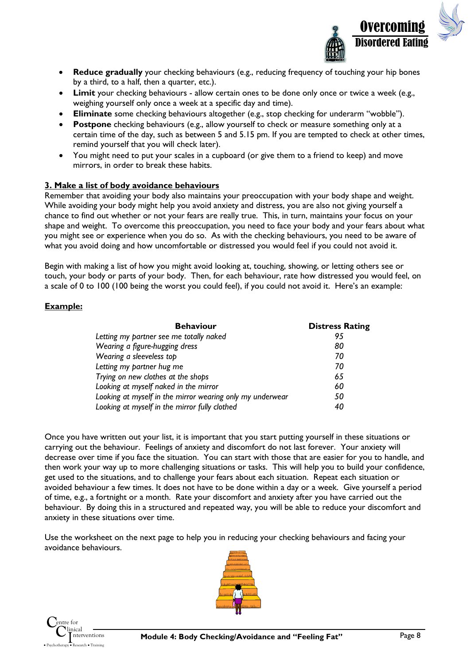

- **Reduce gradually** your checking behaviours (e.g., reducing frequency of touching your hip bones by a third, to a half, then a quarter, etc.).
- **Limit** your checking behaviours allow certain ones to be done only once or twice a week (e.g., weighing yourself only once a week at a specific day and time).
- **Eliminate** some checking behaviours altogether (e.g., stop checking for underarm "wobble").
- **Postpone** checking behaviours (e.g., allow yourself to check or measure something only at a certain time of the day, such as between 5 and 5.15 pm. If you are tempted to check at other times, remind yourself that you will check later).
- You might need to put your scales in a cupboard (or give them to a friend to keep) and move mirrors, in order to break these habits.

#### **3. Make a list of body avoidance behaviours**

Remember that avoiding your body also maintains your preoccupation with your body shape and weight. While avoiding your body might help you avoid anxiety and distress, you are also not giving yourself a chance to find out whether or not your fears are really true. This, in turn, maintains your focus on your shape and weight. To overcome this preoccupation, you need to face your body and your fears about what you might see or experience when you do so. As with the checking behaviours, you need to be aware of what you avoid doing and how uncomfortable or distressed you would feel if you could not avoid it.

Begin with making a list of how you might avoid looking at, touching, showing, or letting others see or touch, your body or parts of your body. Then, for each behaviour, rate how distressed you would feel, on a scale of 0 to 100 (100 being the worst you could feel), if you could not avoid it. Here's an example:

#### **Example:**

| <b>Behaviour</b>                                          | <b>Distress Rating</b> |
|-----------------------------------------------------------|------------------------|
| Letting my partner see me totally naked                   | 95                     |
| Wearing a figure-hugging dress                            | 80                     |
| Wearing a sleeveless top                                  | 70                     |
| Letting my partner hug me                                 | 70                     |
| Trying on new clothes at the shops                        | 65                     |
| Looking at myself naked in the mirror                     | 60                     |
| Looking at myself in the mirror wearing only my underwear | 50                     |
| Looking at myself in the mirror fully clothed             | 40                     |

Once you have written out your list, it is important that you start putting yourself in these situations or carrying out the behaviour. Feelings of anxiety and discomfort do not last forever. Your anxiety will decrease over time if you face the situation. You can start with those that are easier for you to handle, and then work your way up to more challenging situations or tasks. This will help you to build your confidence, get used to the situations, and to challenge your fears about each situation. Repeat each situation or avoided behaviour a few times. It does not have to be done within a day or a week. Give yourself a period of time, e.g., a fortnight or a month. Rate your discomfort and anxiety after you have carried out the behaviour. By doing this in a structured and repeated way, you will be able to reduce your discomfort and anxiety in these situations over time.

Use the worksheet on the next page to help you in reducing your checking behaviours and facing your avoidance behaviours.



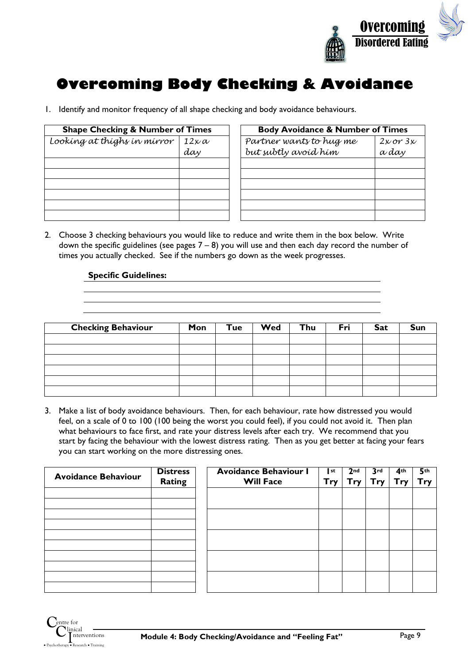

# **Overcoming Body Checking & Avoidance**

1. Identify and monitor frequency of all shape checking and body avoidance behaviours.

| <b>Shape Checking &amp; Number of Times</b> |                     | <b>Body Avoidance &amp; Number of Times</b>     |                              |  |
|---------------------------------------------|---------------------|-------------------------------------------------|------------------------------|--|
| Looking at thighs in mirror                 | $12\times a$<br>day | Partner wants to hug me<br>but subtly avoid him | $2 \times \sigma r$<br>a day |  |
|                                             |                     |                                                 |                              |  |
|                                             |                     |                                                 |                              |  |
|                                             |                     |                                                 |                              |  |

| <b>Body Avoidance &amp; Number of Times</b> |              |  |  |  |
|---------------------------------------------|--------------|--|--|--|
| Partner wants to hug me                     | $2x$ or $3x$ |  |  |  |
| but subtly avoíd hím                        | a day        |  |  |  |
|                                             |              |  |  |  |
|                                             |              |  |  |  |
|                                             |              |  |  |  |
|                                             |              |  |  |  |
|                                             |              |  |  |  |
|                                             |              |  |  |  |

2. Choose 3 checking behaviours you would like to reduce and write them in the box below. Write down the specific guidelines (see pages  $7 - 8$ ) you will use and then each day record the number of times you actually checked. See if the numbers go down as the week progresses.

#### **Specific Guidelines:**

| <b>Checking Behaviour</b> | Mon | Tue | Wed | Thu | Fri | <b>Sat</b> | Sun |
|---------------------------|-----|-----|-----|-----|-----|------------|-----|
|                           |     |     |     |     |     |            |     |
|                           |     |     |     |     |     |            |     |
|                           |     |     |     |     |     |            |     |
|                           |     |     |     |     |     |            |     |
|                           |     |     |     |     |     |            |     |
|                           |     |     |     |     |     |            |     |

3. Make a list of body avoidance behaviours. Then, for each behaviour, rate how distressed you would feel, on a scale of 0 to 100 (100 being the worst you could feel), if you could not avoid it. Then plan what behaviours to face first, and rate your distress levels after each try. We recommend that you start by facing the behaviour with the lowest distress rating. Then as you get better at facing your fears you can start working on the more distressing ones.

| <b>Avoidance Behaviour</b> | <b>Distress</b><br><b>Rating</b> | <b>Avoidance Behaviour I</b><br><b>Will Face</b> | st<br>Try | 2 <sub>nd</sub><br><b>Try</b> | 3rd<br>Trv. | 4 <sup>th</sup><br>Try | 5 <sup>th</sup><br>Try |
|----------------------------|----------------------------------|--------------------------------------------------|-----------|-------------------------------|-------------|------------------------|------------------------|
|                            |                                  |                                                  |           |                               |             |                        |                        |
|                            |                                  |                                                  |           |                               |             |                        |                        |
|                            |                                  |                                                  |           |                               |             |                        |                        |
|                            |                                  |                                                  |           |                               |             |                        |                        |
|                            |                                  |                                                  |           |                               |             |                        |                        |

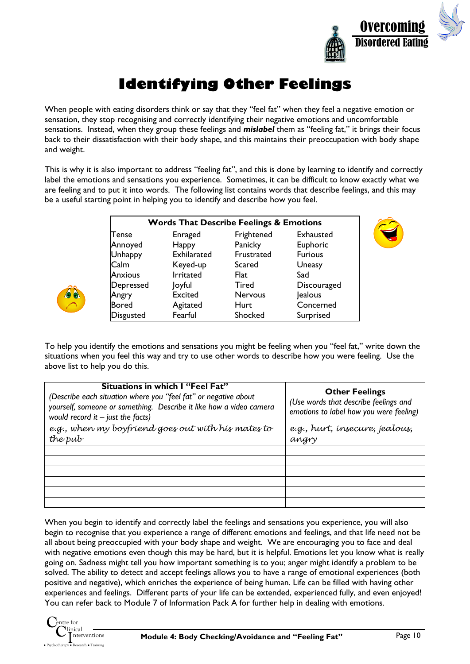

# **Identifying Other Feelings**

When people with eating disorders think or say that they "feel fat" when they feel a negative emotion or sensation, they stop recognising and correctly identifying their negative emotions and uncomfortable sensations. Instead, when they group these feelings and *mislabel* them as "feeling fat," it brings their focus back to their dissatisfaction with their body shape, and this maintains their preoccupation with body shape and weight.

This is why it is also important to address "feeling fat", and this is done by learning to identify and correctly label the emotions and sensations you experience. Sometimes, it can be difficult to know exactly what we are feeling and to put it into words. The following list contains words that describe feelings, and this may be a useful starting point in helping you to identify and describe how you feel.

| <b>Words That Describe Feelings &amp; Emotions</b> |                |              |                |  |  |
|----------------------------------------------------|----------------|--------------|----------------|--|--|
| Tense                                              | Enraged        | Frightened   | Exhausted      |  |  |
| Annoyed                                            | Happy          | Panicky      | Euphoric       |  |  |
| <b>Unhappy</b>                                     | Exhilarated    | Frustrated   | <b>Furious</b> |  |  |
| Calm                                               | Keyed-up       | Scared       | Uneasy         |  |  |
| <b>Anxious</b>                                     | Irritated      | Flat         | Sad            |  |  |
| Depressed                                          | Joyful         | <b>Tired</b> | Discouraged    |  |  |
| Angry                                              | <b>Excited</b> | Nervous      | Jealous        |  |  |
| <b>Bored</b>                                       | Agitated       | Hurt         | Concerned      |  |  |
| Disgusted                                          | Fearful        | Shocked      | Surprised      |  |  |



| Situations in which I "Feel Fat"<br>(Describe each situation where you "feel fat" or negative about<br>yourself, someone or something. Describe it like how a video camera<br>would record it $-$ just the facts) | <b>Other Feelings</b><br>(Use words that describe feelings and<br>emotions to label how you were feeling) |
|-------------------------------------------------------------------------------------------------------------------------------------------------------------------------------------------------------------------|-----------------------------------------------------------------------------------------------------------|
| e.g., when my boyfriend goes out with his mates to                                                                                                                                                                | e.g., hurt, insecure, jealous,                                                                            |
| the pub                                                                                                                                                                                                           | angry                                                                                                     |
|                                                                                                                                                                                                                   |                                                                                                           |
|                                                                                                                                                                                                                   |                                                                                                           |
|                                                                                                                                                                                                                   |                                                                                                           |
|                                                                                                                                                                                                                   |                                                                                                           |
|                                                                                                                                                                                                                   |                                                                                                           |
|                                                                                                                                                                                                                   |                                                                                                           |

When you begin to identify and correctly label the feelings and sensations you experience, you will also begin to recognise that you experience a range of different emotions and feelings, and that life need not be all about being preoccupied with your body shape and weight. We are encouraging you to face and deal with negative emotions even though this may be hard, but it is helpful. Emotions let you know what is really going on. Sadness might tell you how important something is to you; anger might identify a problem to be solved. The ability to detect and accept feelings allows you to have a range of emotional experiences (both positive and negative), which enriches the experience of being human. Life can be filled with having other experiences and feelings. Different parts of your life can be extended, experienced fully, and even enjoyed! You can refer back to Module 7 of Information Pack A for further help in dealing with emotions.

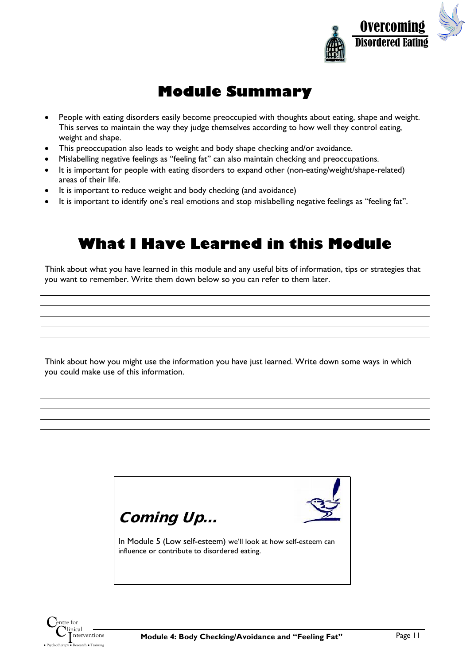

## **Module Summary**

- People with eating disorders easily become preoccupied with thoughts about eating, shape and weight. This serves to maintain the way they judge themselves according to how well they control eating, weight and shape.
- This preoccupation also leads to weight and body shape checking and/or avoidance.
- Mislabelling negative feelings as "feeling fat" can also maintain checking and preoccupations.
- It is important for people with eating disorders to expand other (non-eating/weight/shape-related) areas of their life.
- It is important to reduce weight and body checking (and avoidance)
- It is important to identify one's real emotions and stop mislabelling negative feelings as "feeling fat".

### **What I Have Learned in this Module**

Think about what you have learned in this module and any useful bits of information, tips or strategies that you want to remember. Write them down below so you can refer to them later.

Think about how you might use the information you have just learned. Write down some ways in which you could make use of this information.